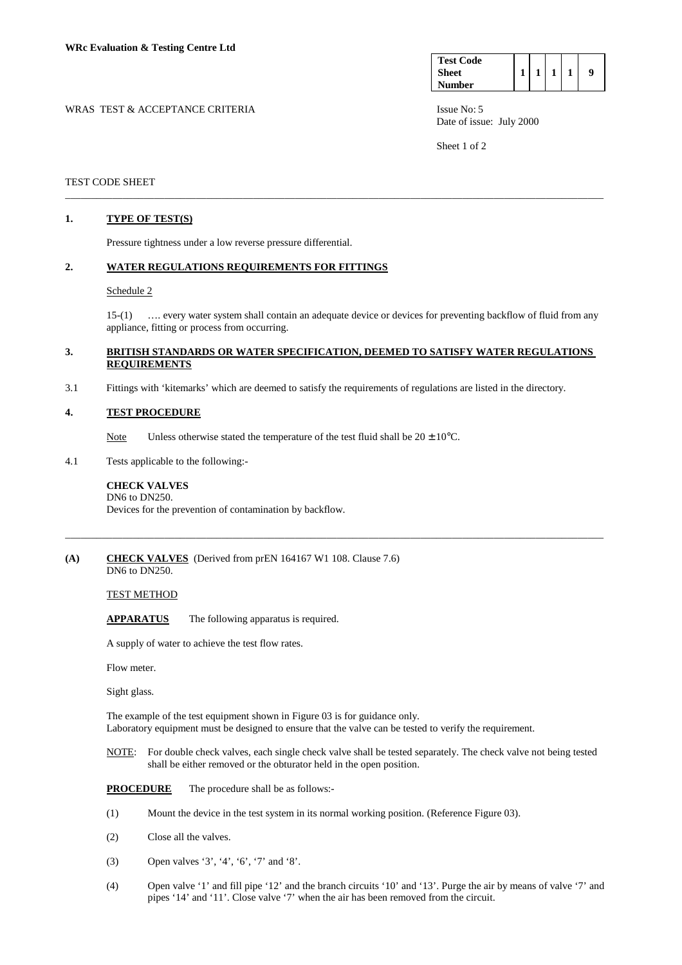| <b>Test Code</b> |  |  |  |
|------------------|--|--|--|
| Sheet            |  |  |  |
| <b>Number</b>    |  |  |  |

WRAS TEST & ACCEPTANCE CRITERIA **ISSUE NO:** 5 Date of issue: July 2000

Sheet 1 of 2

## TEST CODE SHEET

# **1. TYPE OF TEST(S)**

Pressure tightness under a low reverse pressure differential.

# **2. WATER REGULATIONS REQUIREMENTS FOR FITTINGS**

#### Schedule 2

 15-(1) …. every water system shall contain an adequate device or devices for preventing backflow of fluid from any appliance, fitting or process from occurring.

## **3. BRITISH STANDARDS OR WATER SPECIFICATION, DEEMED TO SATISFY WATER REGULATIONS REQUIREMENTS**

\_\_\_\_\_\_\_\_\_\_\_\_\_\_\_\_\_\_\_\_\_\_\_\_\_\_\_\_\_\_\_\_\_\_\_\_\_\_\_\_\_\_\_\_\_\_\_\_\_\_\_\_\_\_\_\_\_\_\_\_\_\_\_\_\_\_\_\_\_\_\_\_\_\_\_\_\_\_\_\_\_\_\_\_\_\_\_\_\_\_\_\_\_\_\_\_\_\_\_\_\_\_\_

\_\_\_\_\_\_\_\_\_\_\_\_\_\_\_\_\_\_\_\_\_\_\_\_\_\_\_\_\_\_\_\_\_\_\_\_\_\_\_\_\_\_\_\_\_\_\_\_\_\_\_\_\_\_\_\_\_\_\_\_\_\_\_\_\_\_\_\_\_\_\_\_\_\_\_\_\_\_\_\_\_\_\_\_\_\_\_\_\_\_\_\_\_\_\_\_\_\_\_\_\_\_\_

3.1 Fittings with 'kitemarks' which are deemed to satisfy the requirements of regulations are listed in the directory.

### **4. TEST PROCEDURE**

- Note Unless otherwise stated the temperature of the test fluid shall be  $20 \pm 10^{\circ}$ C.
- 4.1 Tests applicable to the following:-

#### **CHECK VALVES**  DN6 to DN250.

Devices for the prevention of contamination by backflow.

**(A) CHECK VALVES** (Derived from prEN 164167 W1 108. Clause 7.6) DN6 to DN250.

TEST METHOD

 **APPARATUS** The following apparatus is required.

A supply of water to achieve the test flow rates.

Flow meter.

Sight glass.

The example of the test equipment shown in Figure 03 is for guidance only. Laboratory equipment must be designed to ensure that the valve can be tested to verify the requirement.

 NOTE: For double check valves, each single check valve shall be tested separately. The check valve not being tested shall be either removed or the obturator held in the open position.

**PROCEDURE** The procedure shall be as follows:-

- (1) Mount the device in the test system in its normal working position. (Reference Figure 03).
- (2) Close all the valves.
- (3) Open valves '3', '4', '6', '7' and '8'.
- (4) Open valve '1' and fill pipe '12' and the branch circuits '10' and '13'. Purge the air by means of valve '7' and pipes '14' and '11'. Close valve '7' when the air has been removed from the circuit.